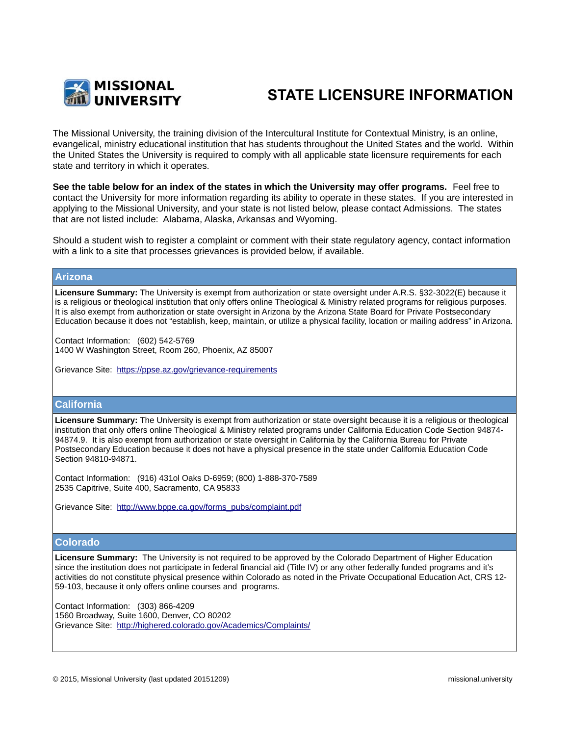

# **STATE LICENSURE INFORMATION**

The Missional University, the training division of the Intercultural Institute for Contextual Ministry, is an online, evangelical, ministry educational institution that has students throughout the United States and the world. Within the United States the University is required to comply with all applicable state licensure requirements for each state and territory in which it operates.

**See the table below for an index of the states in which the University may offer programs.** Feel free to contact the University for more information regarding its ability to operate in these states. If you are interested in applying to the Missional University, and your state is not listed below, please contact Admissions. The states that are not listed include: Alabama, Alaska, Arkansas and Wyoming.

Should a student wish to register a complaint or comment with their state regulatory agency, contact information with a link to a site that processes grievances is provided below, if available.

# **Arizona**

**Licensure Summary:** The University is exempt from authorization or state oversight under A.R.S. §32-3022(E) because it is a religious or theological institution that only offers online Theological & Ministry related programs for religious purposes. It is also exempt from authorization or state oversight in Arizona by the Arizona State Board for Private Postsecondary Education because it does not "establish, keep, maintain, or utilize a physical facility, location or mailing address" in Arizona.

Contact Information: (602) 542-5769 1400 W Washington Street, Room 260, Phoenix, AZ 85007

Grievance Site: <https://ppse.az.gov/grievance-requirements>

# **California**

**Licensure Summary:** The University is exempt from authorization or state oversight because it is a religious or theological institution that only offers online Theological & Ministry related programs under California Education Code Section 94874- 94874.9. It is also exempt from authorization or state oversight in California by the California Bureau for Private Postsecondary Education because it does not have a physical presence in the state under California Education Code Section 94810-94871.

Contact Information: (916) 431ol Oaks D-6959; (800) 1-888-370-7589 2535 Capitrive, Suite 400, Sacramento, CA 95833

Grievance Site: http://www.bppe.ca.gov/forms\_pubs/complaint.pdf

# **Colorado**

**Licensure Summary:** The University is not required to be approved by the Colorado Department of Higher Education since the institution does not participate in federal financial aid (Title IV) or any other federally funded programs and it's activities do not constitute physical presence within Colorado as noted in the Private Occupational Education Act, CRS 12- 59-103, because it only offers online courses and programs.

Contact Information: (303) 866-4209 1560 Broadway, Suite 1600, Denver, CO 80202 Grievance Site: <http://highered.colorado.gov/Academics/Complaints/>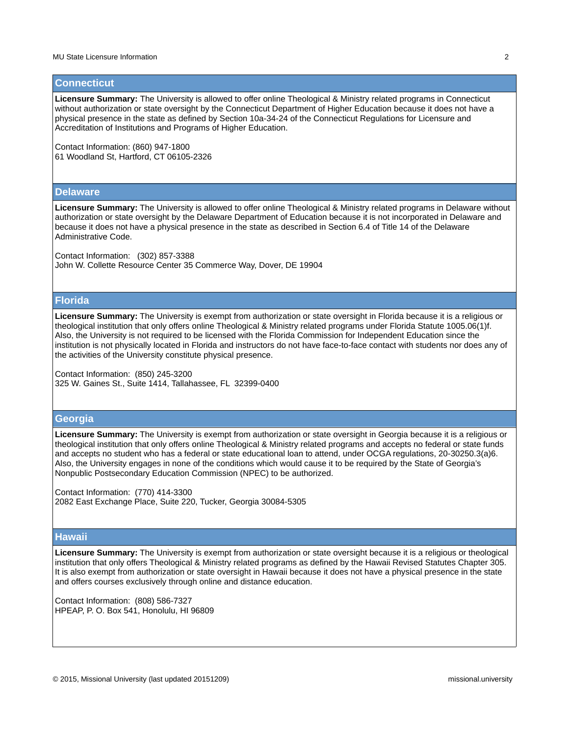#### **Connecticut**

**Licensure Summary:** The University is allowed to offer online Theological & Ministry related programs in Connecticut without authorization or state oversight by the Connecticut Department of Higher Education because it does not have a physical presence in the state as defined by Section 10a-34-24 of the Connecticut Regulations for Licensure and Accreditation of Institutions and Programs of Higher Education.

Contact Information: (860) 947-1800 61 Woodland St, Hartford, CT 06105-2326

#### **Delaware**

**Licensure Summary:** The University is allowed to offer online Theological & Ministry related programs in Delaware without authorization or state oversight by the Delaware Department of Education because it is not incorporated in Delaware and because it does not have a physical presence in the state as described in Section 6.4 of Title 14 of the Delaware Administrative Code.

Contact Information: (302) 857-3388 John W. Collette Resource Center 35 Commerce Way, Dover, DE 19904

#### **Florida**

**Licensure Summary:** The University is exempt from authorization or state oversight in Florida because it is a religious or theological institution that only offers online Theological & Ministry related programs under Florida Statute 1005.06(1)f. Also, the University is not required to be licensed with the Florida Commission for Independent Education since the institution is not physically located in Florida and instructors do not have face-to-face contact with students nor does any of the activities of the University constitute physical presence.

Contact Information: (850) 245-3200 325 W. Gaines St., Suite 1414, Tallahassee, FL 32399-0400

# **Georgia**

**Licensure Summary:** The University is exempt from authorization or state oversight in Georgia because it is a religious or theological institution that only offers online Theological & Ministry related programs and accepts no federal or state funds and accepts no student who has a federal or state educational loan to attend, under OCGA regulations, 20-30250.3(a)6. Also, the University engages in none of the conditions which would cause it to be required by the State of Georgia's Nonpublic Postsecondary Education Commission (NPEC) to be authorized.

Contact Information: (770) 414-3300 2082 East Exchange Place, Suite 220, Tucker, Georgia 30084-5305

#### **Hawaii**

**Licensure Summary:** The University is exempt from authorization or state oversight because it is a religious or theological institution that only offers Theological & Ministry related programs as defined by the Hawaii Revised Statutes Chapter 305. It is also exempt from authorization or state oversight in Hawaii because it does not have a physical presence in the state and offers courses exclusively through online and distance education.

Contact Information: (808) 586-7327 HPEAP, P. O. Box 541, Honolulu, HI 96809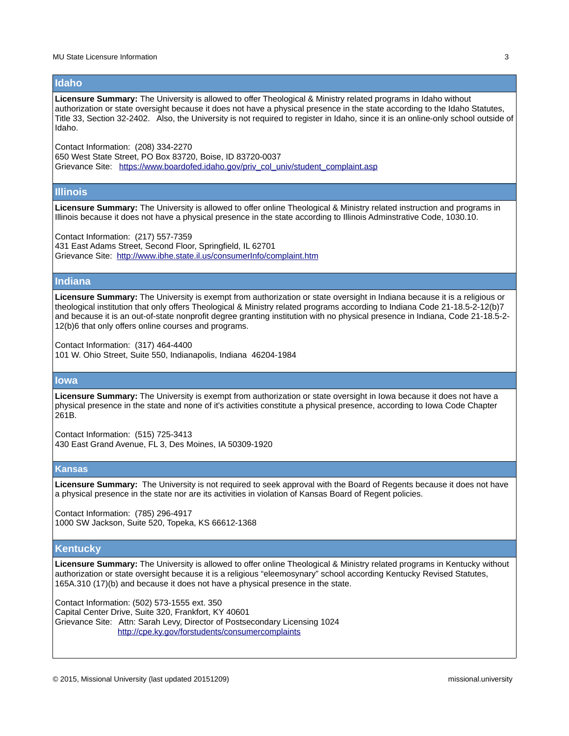#### **Idaho**

**Licensure Summary:** The University is allowed to offer Theological & Ministry related programs in Idaho without authorization or state oversight because it does not have a physical presence in the state according to the Idaho Statutes, Title 33, Section 32-2402. Also, the University is not required to register in Idaho, since it is an online-only school outside of Idaho.

Contact Information: (208) 334-2270 650 West State Street, PO Box 83720, Boise, ID 83720-0037 Grievance Site: https://www.boardofed.idaho.gov/priv\_col\_univ/student\_complaint.asp

#### **Illinois**

**Licensure Summary:** The University is allowed to offer online Theological & Ministry related instruction and programs in Illinois because it does not have a physical presence in the state according to Illinois Adminstrative Code, 1030.10.

Contact Information: (217) 557-7359 431 East Adams Street, Second Floor, Springfield, IL 62701 Grievance Site: <http://www.ibhe.state.il.us/consumerInfo/complaint.htm>

# **Indiana**

**Licensure Summary:** The University is exempt from authorization or state oversight in Indiana because it is a religious or theological institution that only offers Theological & Ministry related programs according to Indiana Code 21-18.5-2-12(b)7 and because it is an out-of-state nonprofit degree granting institution with no physical presence in Indiana, Code 21-18.5-2- 12(b)6 that only offers online courses and programs.

Contact Information: (317) 464-4400

101 W. Ohio Street, Suite 550, Indianapolis, Indiana 46204-1984

#### **Iowa**

**Licensure Summary:** The University is exempt from authorization or state oversight in Iowa because it does not have a physical presence in the state and none of it's activities constitute a physical presence, according to Iowa Code Chapter 261B.

Contact Information: (515) 725-3413 430 East Grand Avenue, FL 3, Des Moines, IA 50309-1920

## **Kansas**

**Licensure Summary:** The University is not required to seek approval with the Board of Regents because it does not have a physical presence in the state nor are its activities in violation of Kansas Board of Regent policies.

Contact Information: (785) 296-4917 1000 SW Jackson, Suite 520, Topeka, KS 66612-1368

#### **Kentucky**

**Licensure Summary:** The University is allowed to offer online Theological & Ministry related programs in Kentucky without authorization or state oversight because it is a religious "eleemosynary" school according Kentucky Revised Statutes, 165A.310 (17)(b) and because it does not have a physical presence in the state.

Contact Information: (502) 573-1555 ext. 350 Capital Center Drive, Suite 320, Frankfort, KY 40601 Grievance Site: Attn: Sarah Levy, Director of Postsecondary Licensing 1024 <http://cpe.ky.gov/forstudents/consumercomplaints>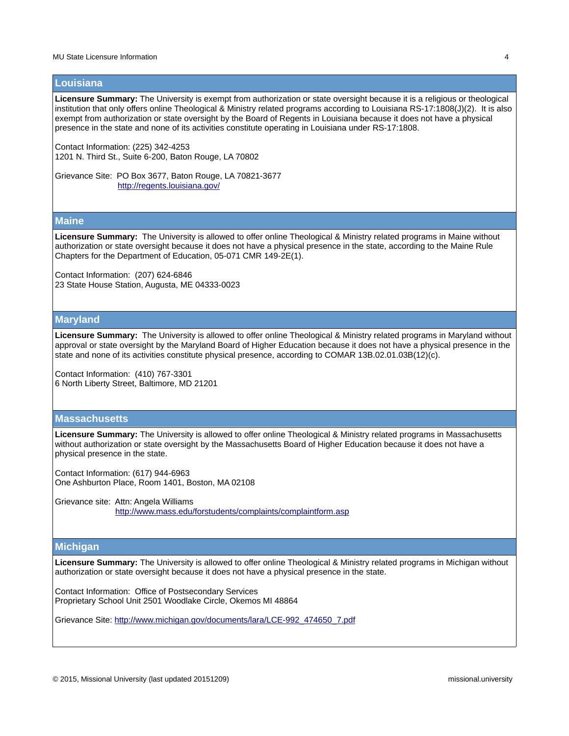#### **Louisiana**

Licensure Summary: The University is exempt from authorization or state oversight because it is a religious or theological institution that only offers online Theological & Ministry related programs according to Louisiana RS-17:1808(J)(2). It is also exempt from authorization or state oversight by the Board of Regents in Louisiana because it does not have a physical presence in the state and none of its activities constitute operating in Louisiana under RS-17:1808.

Contact Information: (225) 342-4253 1201 N. Third St., Suite 6-200, Baton Rouge, LA 70802

Grievance Site: PO Box 3677, Baton Rouge, LA 70821-3677 <http://regents.louisiana.gov/>

#### **Maine**

**Licensure Summary:** The University is allowed to offer online Theological & Ministry related programs in Maine without authorization or state oversight because it does not have a physical presence in the state, according to the Maine Rule Chapters for the Department of Education, 05-071 CMR 149-2E(1).

Contact Information: (207) 624-6846 23 State House Station, Augusta, ME 04333-0023

# **Maryland**

**Licensure Summary:** The University is allowed to offer online Theological & Ministry related programs in Maryland without approval or state oversight by the Maryland Board of Higher Education because it does not have a physical presence in the state and none of its activities constitute physical presence, according to COMAR 13B.02.01.03B(12)(c).

Contact Information: (410) 767-3301 6 North Liberty Street, Baltimore, MD 21201

# **Massachusetts**

**Licensure Summary:** The University is allowed to offer online Theological & Ministry related programs in Massachusetts without authorization or state oversight by the Massachusetts Board of Higher Education because it does not have a physical presence in the state.

Contact Information: (617) 944-6963 One Ashburton Place, Room 1401, Boston, MA 02108

Grievance site: Attn: Angela Williams <http://www.mass.edu/forstudents/complaints/complaintform.asp>

#### **Michigan**

**Licensure Summary:** The University is allowed to offer online Theological & Ministry related programs in Michigan without authorization or state oversight because it does not have a physical presence in the state.

Contact Information: Office of Postsecondary Services Proprietary School Unit 2501 Woodlake Circle, Okemos MI 48864

Grievance Site: [http://www.michigan.gov/documents/lara/LCE-992\\_474650\\_7.pdf](http://www.michigan.gov/documents/lara/LCE-992_474650_7.pdf)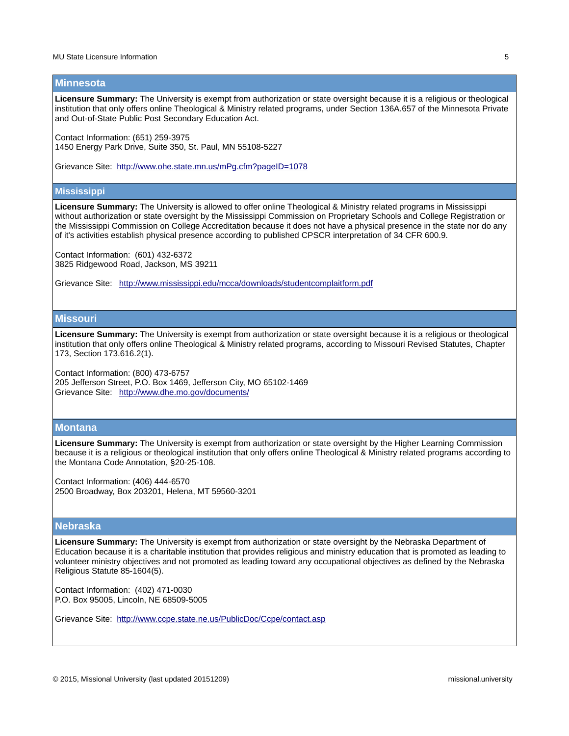#### **Minnesota**

Licensure Summary: The University is exempt from authorization or state oversight because it is a religious or theological institution that only offers online Theological & Ministry related programs, under Section 136A.657 of the Minnesota Private and Out-of-State Public Post Secondary Education Act.

Contact Information: (651) 259-3975 1450 Energy Park Drive, Suite 350, St. Paul, MN 55108-5227

Grievance Site: <http://www.ohe.state.mn.us/mPg.cfm?pageID=1078>

#### **Mississippi**

**Licensure Summary:** The University is allowed to offer online Theological & Ministry related programs in Mississippi without authorization or state oversight by the Mississippi Commission on Proprietary Schools and College Registration or the Mississippi Commission on College Accreditation because it does not have a physical presence in the state nor do any of it's activities establish physical presence according to published CPSCR interpretation of 34 CFR 600.9.

Contact Information: (601) 432-6372 3825 Ridgewood Road, Jackson, MS 39211

Grievance Site: [http://www.mississippi.edu/mcca/downloads/studentcomplaitform.pdf](http://www.mississippi.edu/mcca/downloads/studentcomplaintform.pdf) 

# **Missouri**

**Licensure Summary:** The University is exempt from authorization or state oversight because it is a religious or theological institution that only offers online Theological & Ministry related programs, according to Missouri Revised Statutes, Chapter 173, Section 173.616.2(1).

Contact Information: (800) 473-6757 205 Jefferson Street, P.O. Box 1469, Jefferson City, MO 65102-1469 Grievance Site: <http://www.dhe.mo.gov/documents/>

#### **Montana**

**Licensure Summary:** The University is exempt from authorization or state oversight by the Higher Learning Commission because it is a religious or theological institution that only offers online Theological & Ministry related programs according to the Montana Code Annotation, §20-25-108.

Contact Information: (406) 444-6570 2500 Broadway, Box 203201, Helena, MT 59560-3201

# **Nebraska**

**Licensure Summary:** The University is exempt from authorization or state oversight by the Nebraska Department of Education because it is a charitable institution that provides religious and ministry education that is promoted as leading to volunteer ministry objectives and not promoted as leading toward any occupational objectives as defined by the Nebraska Religious Statute 85-1604(5).

Contact Information: (402) 471-0030 P.O. Box 95005, Lincoln, NE 68509-5005

Grievance Site: <http://www.ccpe.state.ne.us/PublicDoc/Ccpe/contact.asp>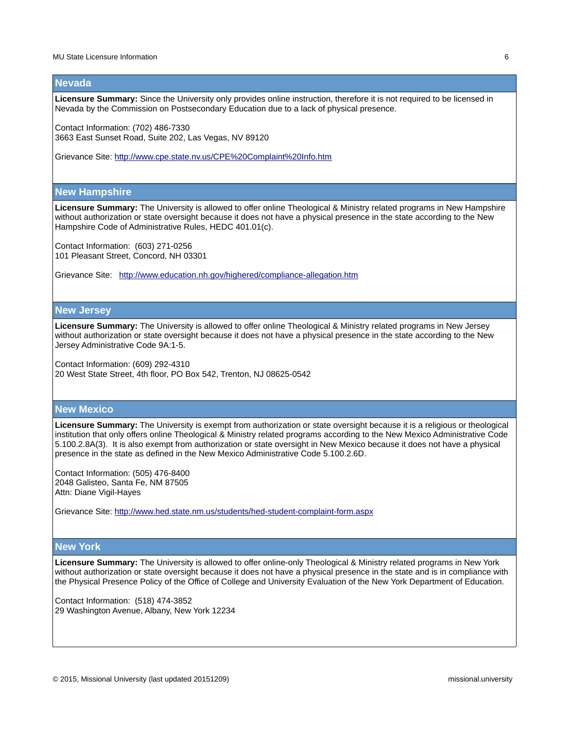#### **Nevada**

**Licensure Summary:** Since the University only provides online instruction, therefore it is not required to be licensed in Nevada by the Commission on Postsecondary Education due to a lack of physical presence.

Contact Information: (702) 486-7330 3663 East Sunset Road, Suite 202, Las Vegas, NV 89120

Grievance Site:<http://www.cpe.state.nv.us/CPE%20Complaint%20Info.htm>

#### **New Hampshire**

**Licensure Summary:** The University is allowed to offer online Theological & Ministry related programs in New Hampshire without authorization or state oversight because it does not have a physical presence in the state according to the New Hampshire Code of Administrative Rules, HEDC 401.01(c).

Contact Information: (603) 271-0256 101 Pleasant Street, Concord, NH 03301

Grievance Site: <http://www.education.nh.gov/highered/compliance-allegation.htm>

### **New Jersey**

**Licensure Summary:** The University is allowed to offer online Theological & Ministry related programs in New Jersey without authorization or state oversight because it does not have a physical presence in the state according to the New Jersey Administrative Code 9A:1-5.

Contact Information: (609) 292-4310 20 West State Street, 4th floor, PO Box 542, Trenton, NJ 08625-0542

# **New Mexico**

**Licensure Summary:** The University is exempt from authorization or state oversight because it is a religious or theological institution that only offers online Theological & Ministry related programs according to the New Mexico Administrative Code 5.100.2.8A(3). It is also exempt from authorization or state oversight in New Mexico because it does not have a physical presence in the state as defined in the New Mexico Administrative Code 5.100.2.6D.

Contact Information: (505) 476-8400 2048 Galisteo, Santa Fe, NM 87505 Attn: Diane Vigil-Hayes

Grievance Site:<http://www.hed.state.nm.us/students/hed-student-complaint-form.aspx>

# **New York**

**Licensure Summary:** The University is allowed to offer online-only Theological & Ministry related programs in New York without authorization or state oversight because it does not have a physical presence in the state and is in compliance with the Physical Presence Policy of the Office of College and University Evaluation of the New York Department of Education.

Contact Information: (518) 474-3852 29 Washington Avenue, Albany, New York 12234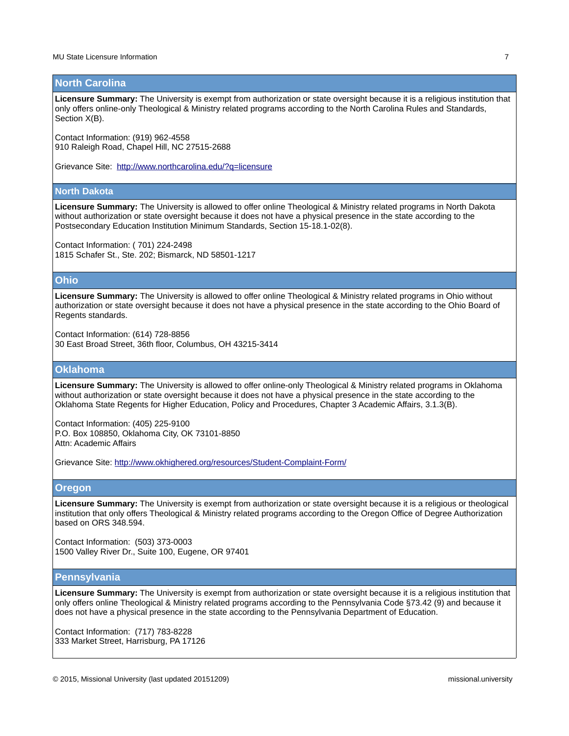#### **North Carolina**

Licensure Summary: The University is exempt from authorization or state oversight because it is a religious institution that only offers online-only Theological & Ministry related programs according to the North Carolina Rules and Standards, Section X(B).

Contact Information: (919) 962-4558 910 Raleigh Road, Chapel Hill, NC 27515-2688

Grievance Site: <http://www.northcarolina.edu/?q=licensure>

#### **North Dakota**

**Licensure Summary:** The University is allowed to offer online Theological & Ministry related programs in North Dakota without authorization or state oversight because it does not have a physical presence in the state according to the Postsecondary Education Institution Minimum Standards, Section 15-18.1-02(8).

Contact Information: ( 701) 224-2498 1815 Schafer St., Ste. 202; Bismarck, ND 58501-1217

## **Ohio**

**Licensure Summary:** The University is allowed to offer online Theological & Ministry related programs in Ohio without authorization or state oversight because it does not have a physical presence in the state according to the Ohio Board of Regents standards.

Contact Information: (614) 728-8856 30 East Broad Street, 36th floor, Columbus, OH 43215-3414

# **Oklahoma**

**Licensure Summary:** The University is allowed to offer online-only Theological & Ministry related programs in Oklahoma without authorization or state oversight because it does not have a physical presence in the state according to the Oklahoma State Regents for Higher Education, Policy and Procedures, Chapter 3 Academic Affairs, 3.1.3(B).

Contact Information: (405) 225-9100 P.O. Box 108850, Oklahoma City, OK 73101-8850 Attn: Academic Affairs

Grievance Site:<http://www.okhighered.org/resources/Student-Complaint-Form/>

#### **Oregon**

**Licensure Summary:** The University is exempt from authorization or state oversight because it is a religious or theological institution that only offers Theological & Ministry related programs according to the Oregon Office of Degree Authorization based on ORS 348.594.

Contact Information: (503) 373-0003 1500 Valley River Dr., Suite 100, Eugene, OR 97401

# **Pennsylvania**

**Licensure Summary:** The University is exempt from authorization or state oversight because it is a religious institution that only offers online Theological & Ministry related programs according to the Pennsylvania Code §73.42 (9) and because it does not have a physical presence in the state according to the Pennsylvania Department of Education.

Contact Information: (717) 783-8228 333 Market Street, Harrisburg, PA 17126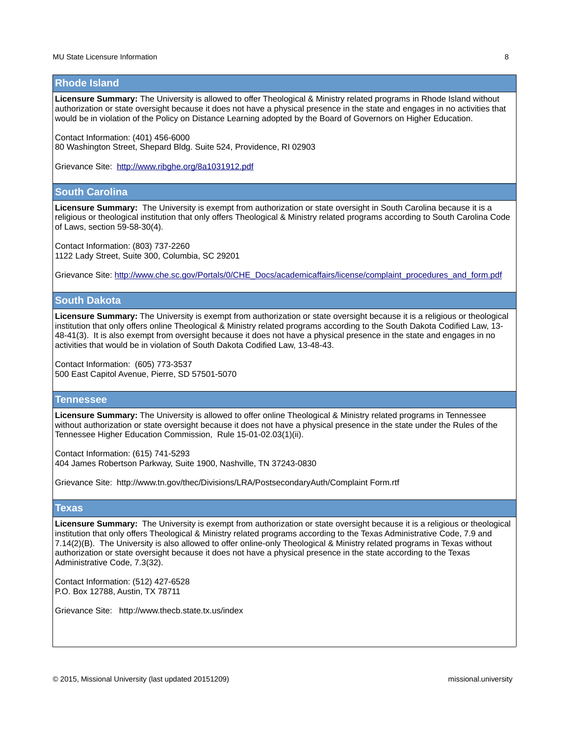#### **Rhode Island**

**Licensure Summary:** The University is allowed to offer Theological & Ministry related programs in Rhode Island without authorization or state oversight because it does not have a physical presence in the state and engages in no activities that would be in violation of the Policy on Distance Learning adopted by the Board of Governors on Higher Education.

Contact Information: (401) 456-6000

80 Washington Street, Shepard Bldg. Suite 524, Providence, RI 02903

Grievance Site: <http://www.ribghe.org/8a1031912.pdf>

## **South Carolina**

**Licensure Summary:** The University is exempt from authorization or state oversight in South Carolina because it is a religious or theological institution that only offers Theological & Ministry related programs according to South Carolina Code of Laws, section 59-58-30(4).

Contact Information: (803) 737-2260 1122 Lady Street, Suite 300, Columbia, SC 29201

Grievance Site: http://www.che.sc.gov/Portals/0/CHE\_Docs/academicaffairs/license/complaint\_procedures\_and\_form.pdf

#### **South Dakota**

**Licensure Summary:** The University is exempt from authorization or state oversight because it is a religious or theological institution that only offers online Theological & Ministry related programs according to the South Dakota Codified Law, 13- 48-41(3). It is also exempt from oversight because it does not have a physical presence in the state and engages in no activities that would be in violation of South Dakota Codified Law, 13-48-43.

Contact Information: (605) 773-3537 500 East Capitol Avenue, Pierre, SD 57501-5070

#### **Tennessee**

**Licensure Summary:** The University is allowed to offer online Theological & Ministry related programs in Tennessee without authorization or state oversight because it does not have a physical presence in the state under the Rules of the Tennessee Higher Education Commission, Rule 15-01-02.03(1)(ii).

Contact Information: (615) 741-5293 404 James Robertson Parkway, Suite 1900, Nashville, TN 37243-0830

Grievance Site: http://www.tn.gov/thec/Divisions/LRA/PostsecondaryAuth/Complaint Form.rtf

#### **Texas**

**Licensure Summary:** The University is exempt from authorization or state oversight because it is a religious or theological institution that only offers Theological & Ministry related programs according to the Texas Administrative Code, 7.9 and 7.14(2)(B). The University is also allowed to offer online-only Theological & Ministry related programs in Texas without authorization or state oversight because it does not have a physical presence in the state according to the Texas Administrative Code, 7.3(32).

Contact Information: (512) 427-6528 P.O. Box 12788, Austin, TX 78711

Grievance Site: http://www.thecb.state.tx.us/index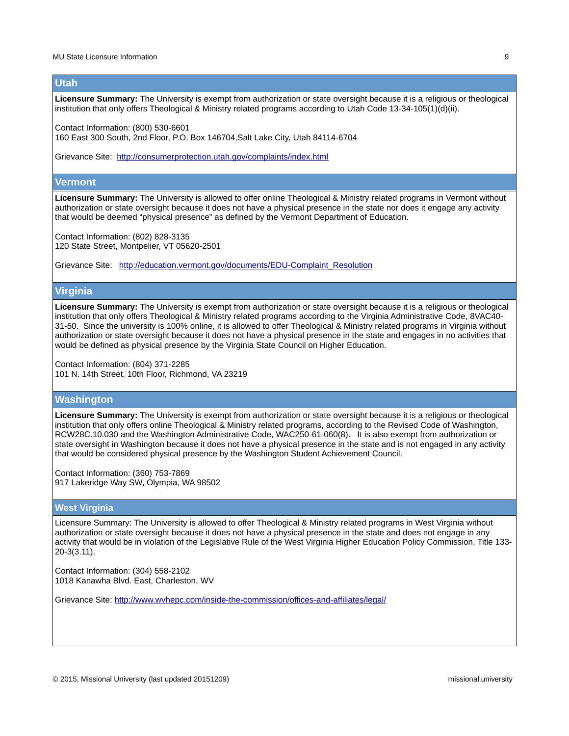#### **Utah**

**Licensure Summary:** The University is exempt from authorization or state oversight because it is a religious or theological institution that only offers Theological & Ministry related programs according to Utah Code 13-34-105(1)(d)(ii).

Contact Information: (800) 530-6601

160 East 300 South, 2nd Floor, P.O. Box 146704,Salt Lake City, Utah 84114-6704

Grievance Site: <http://consumerprotection.utah.gov/complaints/index.html>

#### **Vermont**

**Licensure Summary:** The University is allowed to offer online Theological & Ministry related programs in Vermont without authorization or state oversight because it does not have a physical presence in the state nor does it engage any activity that would be deemed "physical presence" as defined by the Vermont Department of Education.

Contact Information: (802) 828-3135 120 State Street, Montpelier, VT 05620-2501

Grievance Site: [http://education.vermont.gov/documents/EDU-Complaint\\_Resolution](http://education.vermont.gov/documents/EDU-Complaint_Resolution) 

#### **Virginia**

**Licensure Summary:** The University is exempt from authorization or state oversight because it is a religious or theological institution that only offers Theological & Ministry related programs according to the Virginia Administrative Code, 8VAC40- 31-50. Since the university is 100% online, it is allowed to offer Theological & Ministry related programs in Virginia without authorization or state oversight because it does not have a physical presence in the state and engages in no activities that would be defined as physical presence by the Virginia State Council on Higher Education.

Contact Information: (804) 371-2285 101 N. 14th Street, 10th Floor, Richmond, VA 23219

# **Washington**

**Licensure Summary:** The University is exempt from authorization or state oversight because it is a religious or theological institution that only offers online Theological & Ministry related programs, according to the Revised Code of Washington, RCW28C.10.030 and the Washington Administrative Code, WAC250-61-060(8). It is also exempt from authorization or state oversight in Washington because it does not have a physical presence in the state and is not engaged in any activity that would be considered physical presence by the Washington Student Achievement Council.

Contact Information: (360) 753-7869 917 Lakeridge Way SW, Olympia, WA 98502

# **West Virginia**

Licensure Summary: The University is allowed to offer Theological & Ministry related programs in West Virginia without authorization or state oversight because it does not have a physical presence in the state and does not engage in any activity that would be in violation of the Legislative Rule of the West Virginia Higher Education Policy Commission, Title 133- 20-3(3.11).

Contact Information: (304) 558-2102 1018 Kanawha Blvd. East, Charleston, WV

Grievance Site:<http://www.wvhepc.com/inside-the-commission/offices-and-affiliates/legal/>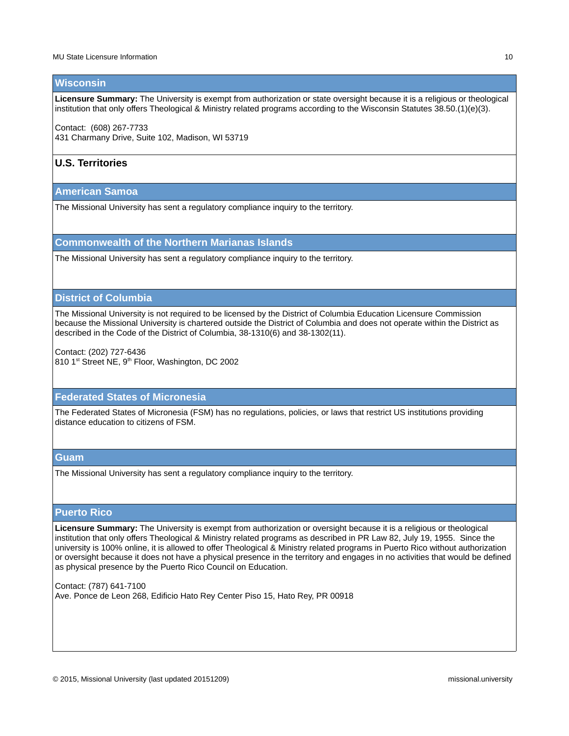#### **Wisconsin**

**Licensure Summary:** The University is exempt from authorization or state oversight because it is a religious or theological institution that only offers Theological & Ministry related programs according to the Wisconsin Statutes 38.50.(1)(e)(3).

Contact: (608) 267-7733 431 Charmany Drive, Suite 102, Madison, WI 53719

# **U.S. Territories**

**American Samoa**

The Missional University has sent a regulatory compliance inquiry to the territory.

**Commonwealth of the Northern Marianas Islands**

The Missional University has sent a regulatory compliance inquiry to the territory.

# **District of Columbia**

The Missional University is not required to be licensed by the District of Columbia Education Licensure Commission because the Missional University is chartered outside the District of Columbia and does not operate within the District as described in the Code of the District of Columbia, 38-1310(6) and 38-1302(11).

Contact: (202) 727-6436 810 1<sup>st</sup> Street NE, 9<sup>th</sup> Floor, Washington, DC 2002

#### **Federated States of Micronesia**

The Federated States of Micronesia (FSM) has no regulations, policies, or laws that restrict US institutions providing distance education to citizens of FSM.

#### **Guam**

The Missional University has sent a regulatory compliance inquiry to the territory.

#### **Puerto Rico**

Licensure Summary: The University is exempt from authorization or oversight because it is a religious or theological institution that only offers Theological & Ministry related programs as described in PR Law 82, July 19, 1955. Since the university is 100% online, it is allowed to offer Theological & Ministry related programs in Puerto Rico without authorization or oversight because it does not have a physical presence in the territory and engages in no activities that would be defined as physical presence by the Puerto Rico Council on Education.

Contact: (787) 641-7100 Ave. Ponce de Leon 268, Edificio Hato Rey Center Piso 15, Hato Rey, PR 00918